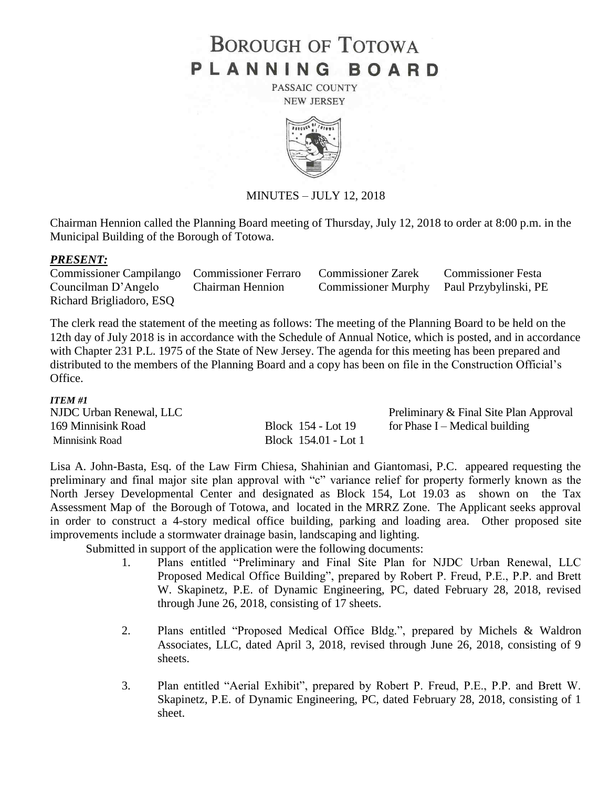# **BOROUGH OF TOTOWA** PLANNING BOARD

PASSAIC COUNTY **NEW JERSEY** 



MINUTES – JULY 12, 2018

Chairman Hennion called the Planning Board meeting of Thursday, July 12, 2018 to order at 8:00 p.m. in the Municipal Building of the Borough of Totowa.

## *PRESENT:*

Commissioner Campilango Commissioner Ferraro Commissioner Zarek Commissioner Festa Councilman D'Angelo Chairman Hennion Commissioner Murphy Paul Przybylinski, PE Richard Brigliadoro, ESQ

The clerk read the statement of the meeting as follows: The meeting of the Planning Board to be held on the 12th day of July 2018 is in accordance with the Schedule of Annual Notice, which is posted, and in accordance with Chapter 231 P.L. 1975 of the State of New Jersey. The agenda for this meeting has been prepared and distributed to the members of the Planning Board and a copy has been on file in the Construction Official's Office.

#### *ITEM #1*

| NJDC Urban Renewal, LLC |                      | Preliminary & Final Site Plan Approval |
|-------------------------|----------------------|----------------------------------------|
| 169 Minnisink Road      | Block 154 - Lot 19   | for Phase I – Medical building         |
| Minnisink Road          | Block 154.01 - Lot 1 |                                        |

Lisa A. John-Basta, Esq. of the Law Firm Chiesa, Shahinian and Giantomasi, P.C. appeared requesting the preliminary and final major site plan approval with "c" variance relief for property formerly known as the North Jersey Developmental Center and designated as Block 154, Lot 19.03 as shown on the Tax Assessment Map of the Borough of Totowa, and located in the MRRZ Zone. The Applicant seeks approval in order to construct a 4-story medical office building, parking and loading area. Other proposed site improvements include a stormwater drainage basin, landscaping and lighting.

Submitted in support of the application were the following documents:

- 1. Plans entitled "Preliminary and Final Site Plan for NJDC Urban Renewal, LLC Proposed Medical Office Building", prepared by Robert P. Freud, P.E., P.P. and Brett W. Skapinetz, P.E. of Dynamic Engineering, PC, dated February 28, 2018, revised through June 26, 2018, consisting of 17 sheets.
- 2. Plans entitled "Proposed Medical Office Bldg.", prepared by Michels & Waldron Associates, LLC, dated April 3, 2018, revised through June 26, 2018, consisting of 9 sheets.
- 3. Plan entitled "Aerial Exhibit", prepared by Robert P. Freud, P.E., P.P. and Brett W. Skapinetz, P.E. of Dynamic Engineering, PC, dated February 28, 2018, consisting of 1 sheet.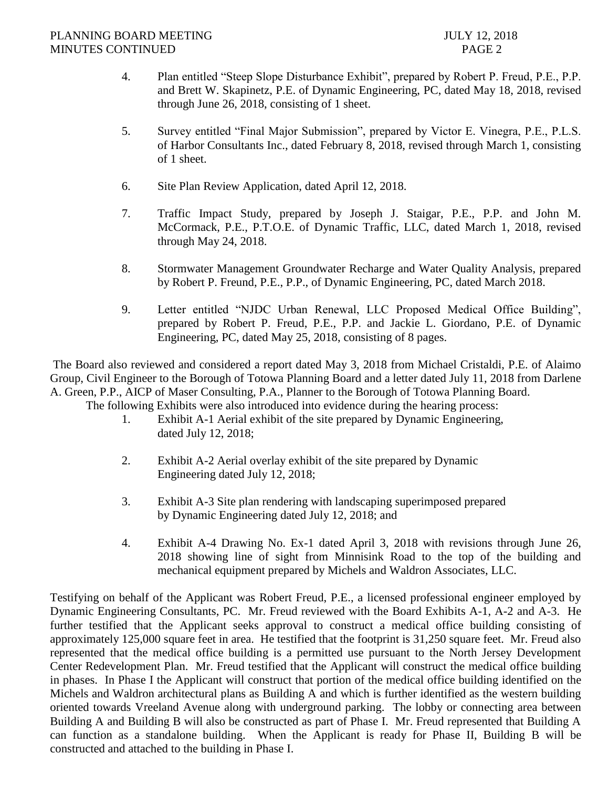- 4. Plan entitled "Steep Slope Disturbance Exhibit", prepared by Robert P. Freud, P.E., P.P. and Brett W. Skapinetz, P.E. of Dynamic Engineering, PC, dated May 18, 2018, revised through June 26, 2018, consisting of 1 sheet.
- 5. Survey entitled "Final Major Submission", prepared by Victor E. Vinegra, P.E., P.L.S. of Harbor Consultants Inc., dated February 8, 2018, revised through March 1, consisting of 1 sheet.
- 6. Site Plan Review Application, dated April 12, 2018.
- 7. Traffic Impact Study, prepared by Joseph J. Staigar, P.E., P.P. and John M. McCormack, P.E., P.T.O.E. of Dynamic Traffic, LLC, dated March 1, 2018, revised through May 24, 2018.
- 8. Stormwater Management Groundwater Recharge and Water Quality Analysis, prepared by Robert P. Freund, P.E., P.P., of Dynamic Engineering, PC, dated March 2018.
- 9. Letter entitled "NJDC Urban Renewal, LLC Proposed Medical Office Building", prepared by Robert P. Freud, P.E., P.P. and Jackie L. Giordano, P.E. of Dynamic Engineering, PC, dated May 25, 2018, consisting of 8 pages.

The Board also reviewed and considered a report dated May 3, 2018 from Michael Cristaldi, P.E. of Alaimo Group, Civil Engineer to the Borough of Totowa Planning Board and a letter dated July 11, 2018 from Darlene A. Green, P.P., AICP of Maser Consulting, P.A., Planner to the Borough of Totowa Planning Board.

The following Exhibits were also introduced into evidence during the hearing process:

- 1. Exhibit A-1 Aerial exhibit of the site prepared by Dynamic Engineering, dated July 12, 2018;
- 2. Exhibit A-2 Aerial overlay exhibit of the site prepared by Dynamic Engineering dated July 12, 2018;
- 3. Exhibit A-3 Site plan rendering with landscaping superimposed prepared by Dynamic Engineering dated July 12, 2018; and
- 4. Exhibit A-4 Drawing No. Ex-1 dated April 3, 2018 with revisions through June 26, 2018 showing line of sight from Minnisink Road to the top of the building and mechanical equipment prepared by Michels and Waldron Associates, LLC.

Testifying on behalf of the Applicant was Robert Freud, P.E., a licensed professional engineer employed by Dynamic Engineering Consultants, PC. Mr. Freud reviewed with the Board Exhibits A-1, A-2 and A-3. He further testified that the Applicant seeks approval to construct a medical office building consisting of approximately 125,000 square feet in area. He testified that the footprint is 31,250 square feet. Mr. Freud also represented that the medical office building is a permitted use pursuant to the North Jersey Development Center Redevelopment Plan. Mr. Freud testified that the Applicant will construct the medical office building in phases. In Phase I the Applicant will construct that portion of the medical office building identified on the Michels and Waldron architectural plans as Building A and which is further identified as the western building oriented towards Vreeland Avenue along with underground parking. The lobby or connecting area between Building A and Building B will also be constructed as part of Phase I. Mr. Freud represented that Building A can function as a standalone building. When the Applicant is ready for Phase II, Building B will be constructed and attached to the building in Phase I.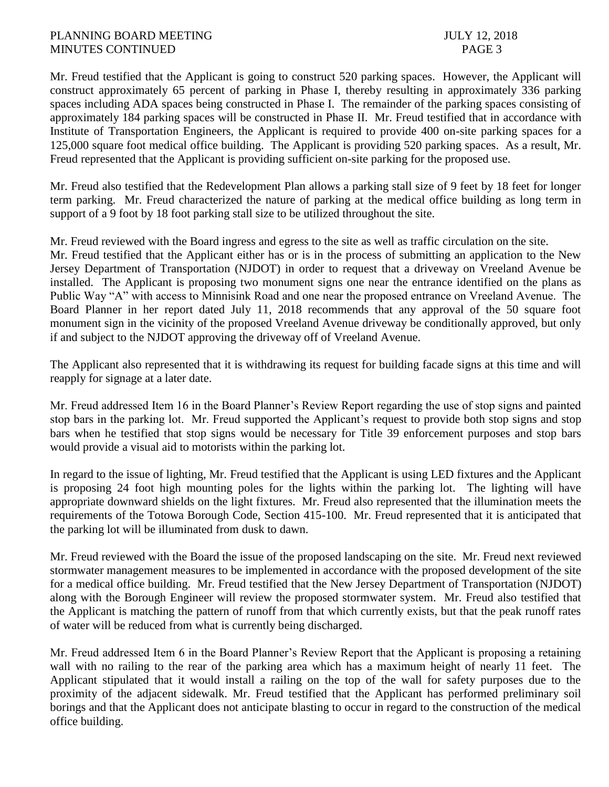Mr. Freud testified that the Applicant is going to construct 520 parking spaces. However, the Applicant will construct approximately 65 percent of parking in Phase I, thereby resulting in approximately 336 parking spaces including ADA spaces being constructed in Phase I. The remainder of the parking spaces consisting of approximately 184 parking spaces will be constructed in Phase II. Mr. Freud testified that in accordance with Institute of Transportation Engineers, the Applicant is required to provide 400 on-site parking spaces for a 125,000 square foot medical office building. The Applicant is providing 520 parking spaces. As a result, Mr. Freud represented that the Applicant is providing sufficient on-site parking for the proposed use.

Mr. Freud also testified that the Redevelopment Plan allows a parking stall size of 9 feet by 18 feet for longer term parking. Mr. Freud characterized the nature of parking at the medical office building as long term in support of a 9 foot by 18 foot parking stall size to be utilized throughout the site.

Mr. Freud reviewed with the Board ingress and egress to the site as well as traffic circulation on the site. Mr. Freud testified that the Applicant either has or is in the process of submitting an application to the New Jersey Department of Transportation (NJDOT) in order to request that a driveway on Vreeland Avenue be installed. The Applicant is proposing two monument signs one near the entrance identified on the plans as Public Way "A" with access to Minnisink Road and one near the proposed entrance on Vreeland Avenue. The Board Planner in her report dated July 11, 2018 recommends that any approval of the 50 square foot monument sign in the vicinity of the proposed Vreeland Avenue driveway be conditionally approved, but only if and subject to the NJDOT approving the driveway off of Vreeland Avenue.

The Applicant also represented that it is withdrawing its request for building facade signs at this time and will reapply for signage at a later date.

Mr. Freud addressed Item 16 in the Board Planner's Review Report regarding the use of stop signs and painted stop bars in the parking lot. Mr. Freud supported the Applicant's request to provide both stop signs and stop bars when he testified that stop signs would be necessary for Title 39 enforcement purposes and stop bars would provide a visual aid to motorists within the parking lot.

In regard to the issue of lighting, Mr. Freud testified that the Applicant is using LED fixtures and the Applicant is proposing 24 foot high mounting poles for the lights within the parking lot. The lighting will have appropriate downward shields on the light fixtures. Mr. Freud also represented that the illumination meets the requirements of the Totowa Borough Code, Section 415-100. Mr. Freud represented that it is anticipated that the parking lot will be illuminated from dusk to dawn.

Mr. Freud reviewed with the Board the issue of the proposed landscaping on the site. Mr. Freud next reviewed stormwater management measures to be implemented in accordance with the proposed development of the site for a medical office building. Mr. Freud testified that the New Jersey Department of Transportation (NJDOT) along with the Borough Engineer will review the proposed stormwater system. Mr. Freud also testified that the Applicant is matching the pattern of runoff from that which currently exists, but that the peak runoff rates of water will be reduced from what is currently being discharged.

Mr. Freud addressed Item 6 in the Board Planner's Review Report that the Applicant is proposing a retaining wall with no railing to the rear of the parking area which has a maximum height of nearly 11 feet. The Applicant stipulated that it would install a railing on the top of the wall for safety purposes due to the proximity of the adjacent sidewalk. Mr. Freud testified that the Applicant has performed preliminary soil borings and that the Applicant does not anticipate blasting to occur in regard to the construction of the medical office building.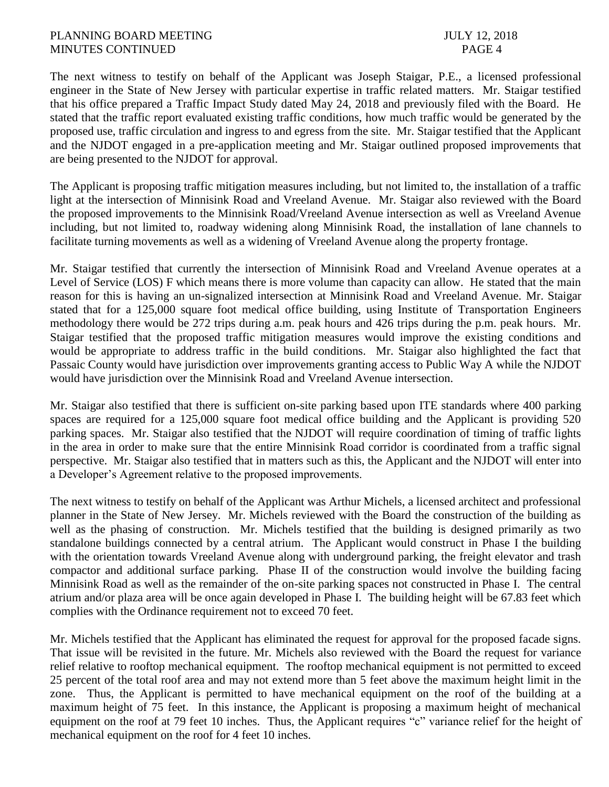#### PLANNING BOARD MEETING 3018 MINUTES CONTINUED PAGE 4

The next witness to testify on behalf of the Applicant was Joseph Staigar, P.E., a licensed professional engineer in the State of New Jersey with particular expertise in traffic related matters. Mr. Staigar testified that his office prepared a Traffic Impact Study dated May 24, 2018 and previously filed with the Board. He stated that the traffic report evaluated existing traffic conditions, how much traffic would be generated by the proposed use, traffic circulation and ingress to and egress from the site. Mr. Staigar testified that the Applicant and the NJDOT engaged in a pre-application meeting and Mr. Staigar outlined proposed improvements that are being presented to the NJDOT for approval.

The Applicant is proposing traffic mitigation measures including, but not limited to, the installation of a traffic light at the intersection of Minnisink Road and Vreeland Avenue. Mr. Staigar also reviewed with the Board the proposed improvements to the Minnisink Road/Vreeland Avenue intersection as well as Vreeland Avenue including, but not limited to, roadway widening along Minnisink Road, the installation of lane channels to facilitate turning movements as well as a widening of Vreeland Avenue along the property frontage.

Mr. Staigar testified that currently the intersection of Minnisink Road and Vreeland Avenue operates at a Level of Service (LOS) F which means there is more volume than capacity can allow. He stated that the main reason for this is having an un-signalized intersection at Minnisink Road and Vreeland Avenue. Mr. Staigar stated that for a 125,000 square foot medical office building, using Institute of Transportation Engineers methodology there would be 272 trips during a.m. peak hours and 426 trips during the p.m. peak hours. Mr. Staigar testified that the proposed traffic mitigation measures would improve the existing conditions and would be appropriate to address traffic in the build conditions. Mr. Staigar also highlighted the fact that Passaic County would have jurisdiction over improvements granting access to Public Way A while the NJDOT would have jurisdiction over the Minnisink Road and Vreeland Avenue intersection.

Mr. Staigar also testified that there is sufficient on-site parking based upon ITE standards where 400 parking spaces are required for a 125,000 square foot medical office building and the Applicant is providing 520 parking spaces. Mr. Staigar also testified that the NJDOT will require coordination of timing of traffic lights in the area in order to make sure that the entire Minnisink Road corridor is coordinated from a traffic signal perspective. Mr. Staigar also testified that in matters such as this, the Applicant and the NJDOT will enter into a Developer's Agreement relative to the proposed improvements.

The next witness to testify on behalf of the Applicant was Arthur Michels, a licensed architect and professional planner in the State of New Jersey. Mr. Michels reviewed with the Board the construction of the building as well as the phasing of construction. Mr. Michels testified that the building is designed primarily as two standalone buildings connected by a central atrium. The Applicant would construct in Phase I the building with the orientation towards Vreeland Avenue along with underground parking, the freight elevator and trash compactor and additional surface parking. Phase II of the construction would involve the building facing Minnisink Road as well as the remainder of the on-site parking spaces not constructed in Phase I. The central atrium and/or plaza area will be once again developed in Phase I. The building height will be 67.83 feet which complies with the Ordinance requirement not to exceed 70 feet.

Mr. Michels testified that the Applicant has eliminated the request for approval for the proposed facade signs. That issue will be revisited in the future. Mr. Michels also reviewed with the Board the request for variance relief relative to rooftop mechanical equipment. The rooftop mechanical equipment is not permitted to exceed 25 percent of the total roof area and may not extend more than 5 feet above the maximum height limit in the zone. Thus, the Applicant is permitted to have mechanical equipment on the roof of the building at a maximum height of 75 feet. In this instance, the Applicant is proposing a maximum height of mechanical equipment on the roof at 79 feet 10 inches. Thus, the Applicant requires "c" variance relief for the height of mechanical equipment on the roof for 4 feet 10 inches.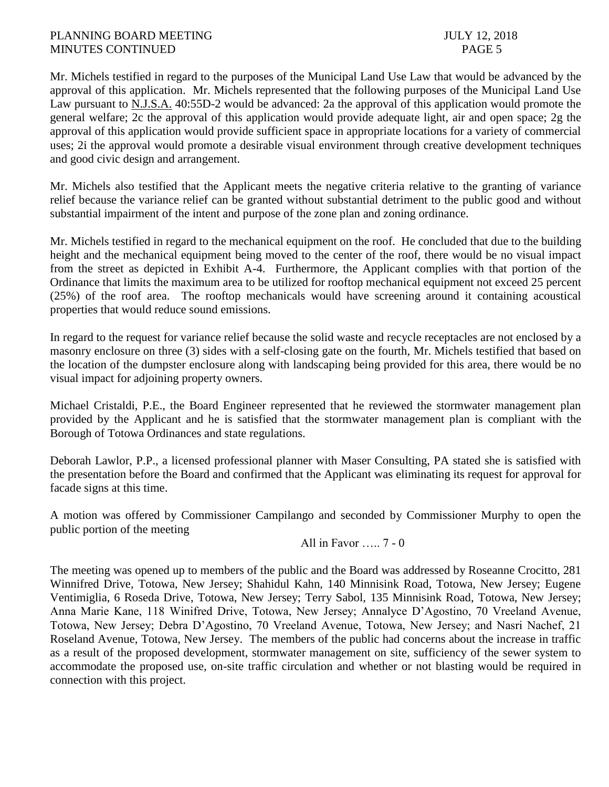## PLANNING BOARD MEETING JULY 12, 2018 MINUTES CONTINUED PAGE 5

Mr. Michels testified in regard to the purposes of the Municipal Land Use Law that would be advanced by the approval of this application. Mr. Michels represented that the following purposes of the Municipal Land Use Law pursuant to N.J.S.A. 40:55D-2 would be advanced: 2a the approval of this application would promote the general welfare; 2c the approval of this application would provide adequate light, air and open space; 2g the approval of this application would provide sufficient space in appropriate locations for a variety of commercial uses; 2i the approval would promote a desirable visual environment through creative development techniques and good civic design and arrangement.

Mr. Michels also testified that the Applicant meets the negative criteria relative to the granting of variance relief because the variance relief can be granted without substantial detriment to the public good and without substantial impairment of the intent and purpose of the zone plan and zoning ordinance.

Mr. Michels testified in regard to the mechanical equipment on the roof. He concluded that due to the building height and the mechanical equipment being moved to the center of the roof, there would be no visual impact from the street as depicted in Exhibit A-4. Furthermore, the Applicant complies with that portion of the Ordinance that limits the maximum area to be utilized for rooftop mechanical equipment not exceed 25 percent (25%) of the roof area. The rooftop mechanicals would have screening around it containing acoustical properties that would reduce sound emissions.

In regard to the request for variance relief because the solid waste and recycle receptacles are not enclosed by a masonry enclosure on three (3) sides with a self-closing gate on the fourth, Mr. Michels testified that based on the location of the dumpster enclosure along with landscaping being provided for this area, there would be no visual impact for adjoining property owners.

Michael Cristaldi, P.E., the Board Engineer represented that he reviewed the stormwater management plan provided by the Applicant and he is satisfied that the stormwater management plan is compliant with the Borough of Totowa Ordinances and state regulations.

Deborah Lawlor, P.P., a licensed professional planner with Maser Consulting, PA stated she is satisfied with the presentation before the Board and confirmed that the Applicant was eliminating its request for approval for facade signs at this time.

A motion was offered by Commissioner Campilango and seconded by Commissioner Murphy to open the public portion of the meeting

All in Favor ….. 7 - 0

The meeting was opened up to members of the public and the Board was addressed by Roseanne Crocitto, 281 Winnifred Drive, Totowa, New Jersey; Shahidul Kahn, 140 Minnisink Road, Totowa, New Jersey; Eugene Ventimiglia, 6 Roseda Drive, Totowa, New Jersey; Terry Sabol, 135 Minnisink Road, Totowa, New Jersey; Anna Marie Kane, 118 Winifred Drive, Totowa, New Jersey; Annalyce D'Agostino, 70 Vreeland Avenue, Totowa, New Jersey; Debra D'Agostino, 70 Vreeland Avenue, Totowa, New Jersey; and Nasri Nachef, 21 Roseland Avenue, Totowa, New Jersey. The members of the public had concerns about the increase in traffic as a result of the proposed development, stormwater management on site, sufficiency of the sewer system to accommodate the proposed use, on-site traffic circulation and whether or not blasting would be required in connection with this project.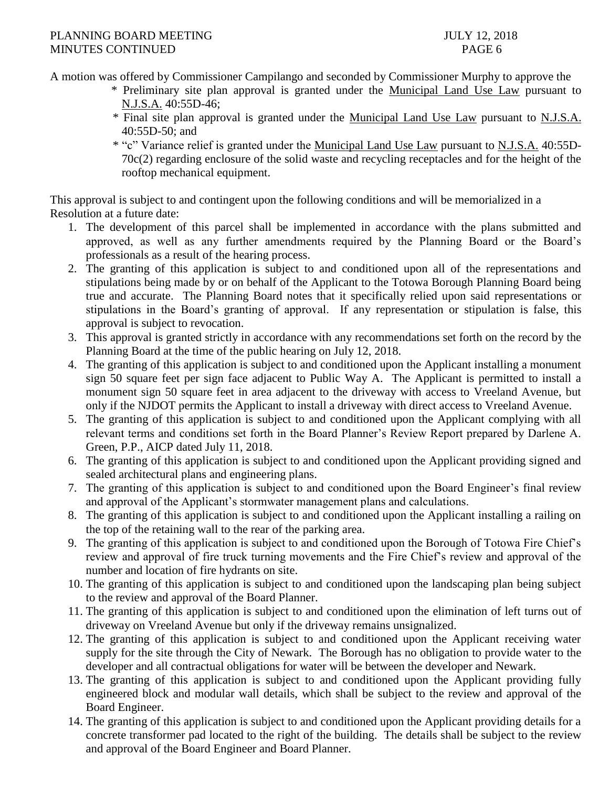A motion was offered by Commissioner Campilango and seconded by Commissioner Murphy to approve the

- \* Preliminary site plan approval is granted under the Municipal Land Use Law pursuant to N.J.S.A. 40:55D-46;
- \* Final site plan approval is granted under the Municipal Land Use Law pursuant to N.J.S.A. 40:55D-50; and
- \* "c" Variance relief is granted under the Municipal Land Use Law pursuant to N.J.S.A. 40:55D-70c(2) regarding enclosure of the solid waste and recycling receptacles and for the height of the rooftop mechanical equipment.

This approval is subject to and contingent upon the following conditions and will be memorialized in a Resolution at a future date:

- 1. The development of this parcel shall be implemented in accordance with the plans submitted and approved, as well as any further amendments required by the Planning Board or the Board's professionals as a result of the hearing process.
- 2. The granting of this application is subject to and conditioned upon all of the representations and stipulations being made by or on behalf of the Applicant to the Totowa Borough Planning Board being true and accurate. The Planning Board notes that it specifically relied upon said representations or stipulations in the Board's granting of approval. If any representation or stipulation is false, this approval is subject to revocation.
- 3. This approval is granted strictly in accordance with any recommendations set forth on the record by the Planning Board at the time of the public hearing on July 12, 2018.
- 4. The granting of this application is subject to and conditioned upon the Applicant installing a monument sign 50 square feet per sign face adjacent to Public Way A. The Applicant is permitted to install a monument sign 50 square feet in area adjacent to the driveway with access to Vreeland Avenue, but only if the NJDOT permits the Applicant to install a driveway with direct access to Vreeland Avenue.
- 5. The granting of this application is subject to and conditioned upon the Applicant complying with all relevant terms and conditions set forth in the Board Planner's Review Report prepared by Darlene A. Green, P.P., AICP dated July 11, 2018.
- 6. The granting of this application is subject to and conditioned upon the Applicant providing signed and sealed architectural plans and engineering plans.
- 7. The granting of this application is subject to and conditioned upon the Board Engineer's final review and approval of the Applicant's stormwater management plans and calculations.
- 8. The granting of this application is subject to and conditioned upon the Applicant installing a railing on the top of the retaining wall to the rear of the parking area.
- 9. The granting of this application is subject to and conditioned upon the Borough of Totowa Fire Chief's review and approval of fire truck turning movements and the Fire Chief's review and approval of the number and location of fire hydrants on site.
- 10. The granting of this application is subject to and conditioned upon the landscaping plan being subject to the review and approval of the Board Planner.
- 11. The granting of this application is subject to and conditioned upon the elimination of left turns out of driveway on Vreeland Avenue but only if the driveway remains unsignalized.
- 12. The granting of this application is subject to and conditioned upon the Applicant receiving water supply for the site through the City of Newark. The Borough has no obligation to provide water to the developer and all contractual obligations for water will be between the developer and Newark.
- 13. The granting of this application is subject to and conditioned upon the Applicant providing fully engineered block and modular wall details, which shall be subject to the review and approval of the Board Engineer.
- 14. The granting of this application is subject to and conditioned upon the Applicant providing details for a concrete transformer pad located to the right of the building. The details shall be subject to the review and approval of the Board Engineer and Board Planner.